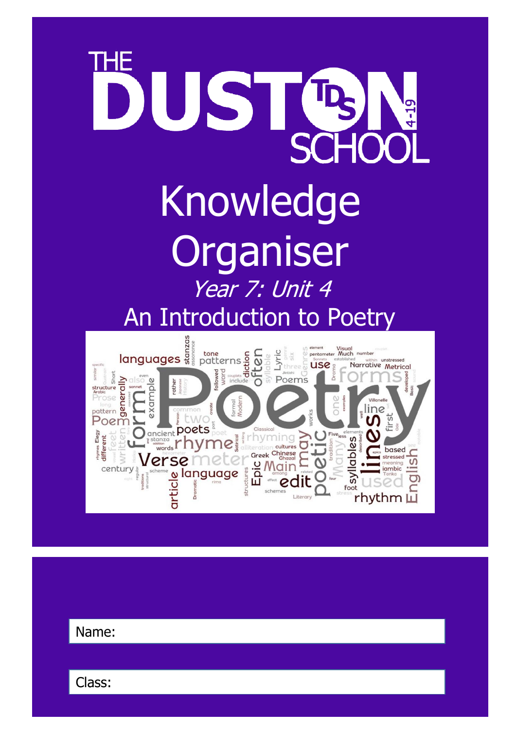

Literary

rhythm 山

arti

I

Name:

Class: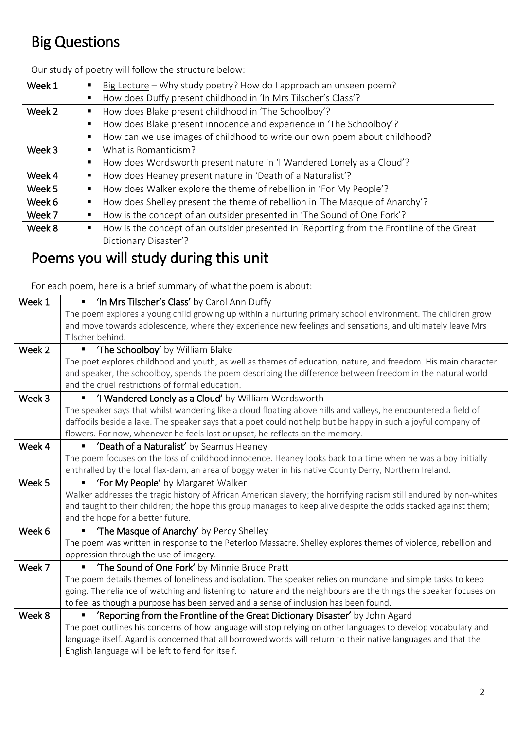## Big Questions

| Week 1 | Big Lecture - Why study poetry? How do I approach an unseen poem? |                                                                                           |  |  |
|--------|-------------------------------------------------------------------|-------------------------------------------------------------------------------------------|--|--|
|        |                                                                   | How does Duffy present childhood in 'In Mrs Tilscher's Class'?                            |  |  |
| Week 2 | п.                                                                | How does Blake present childhood in 'The Schoolboy'?                                      |  |  |
|        |                                                                   | How does Blake present innocence and experience in 'The Schoolboy'?                       |  |  |
|        |                                                                   | How can we use images of childhood to write our own poem about childhood?                 |  |  |
| Week 3 | п.                                                                | What is Romanticism?                                                                      |  |  |
|        |                                                                   | How does Wordsworth present nature in 'I Wandered Lonely as a Cloud'?                     |  |  |
| Week 4 |                                                                   | How does Heaney present nature in 'Death of a Naturalist'?                                |  |  |
| Week 5 |                                                                   | How does Walker explore the theme of rebellion in 'For My People'?                        |  |  |
| Week 6 |                                                                   | How does Shelley present the theme of rebellion in 'The Masque of Anarchy'?               |  |  |
| Week 7 |                                                                   | How is the concept of an outsider presented in 'The Sound of One Fork'?                   |  |  |
| Week 8 | ٠                                                                 | How is the concept of an outsider presented in 'Reporting from the Frontline of the Great |  |  |
|        |                                                                   | Dictionary Disaster'?                                                                     |  |  |

Our study of poetry will follow the structure below:

## Poems you will study during this unit

For each poem, here is a brief summary of what the poem is about:

| Week 1 | 'In Mrs Tilscher's Class' by Carol Ann Duffy<br>П                                                                                                                   |  |  |  |
|--------|---------------------------------------------------------------------------------------------------------------------------------------------------------------------|--|--|--|
|        | The poem explores a young child growing up within a nurturing primary school environment. The children grow                                                         |  |  |  |
|        | and move towards adolescence, where they experience new feelings and sensations, and ultimately leave Mrs                                                           |  |  |  |
|        | Tilscher behind.                                                                                                                                                    |  |  |  |
| Week 2 | 'The Schoolboy' by William Blake                                                                                                                                    |  |  |  |
|        | The poet explores childhood and youth, as well as themes of education, nature, and freedom. His main character                                                      |  |  |  |
|        | and speaker, the schoolboy, spends the poem describing the difference between freedom in the natural world                                                          |  |  |  |
|        | and the cruel restrictions of formal education.                                                                                                                     |  |  |  |
| Week 3 | 'I Wandered Lonely as a Cloud' by William Wordsworth                                                                                                                |  |  |  |
|        | The speaker says that whilst wandering like a cloud floating above hills and valleys, he encountered a field of                                                     |  |  |  |
|        | daffodils beside a lake. The speaker says that a poet could not help but be happy in such a joyful company of                                                       |  |  |  |
|        | flowers. For now, whenever he feels lost or upset, he reflects on the memory.                                                                                       |  |  |  |
| Week 4 | 'Death of a Naturalist' by Seamus Heaney                                                                                                                            |  |  |  |
|        | The poem focuses on the loss of childhood innocence. Heaney looks back to a time when he was a boy initially                                                        |  |  |  |
|        | enthralled by the local flax-dam, an area of boggy water in his native County Derry, Northern Ireland.                                                              |  |  |  |
|        |                                                                                                                                                                     |  |  |  |
| Week 5 | 'For My People' by Margaret Walker                                                                                                                                  |  |  |  |
|        | Walker addresses the tragic history of African American slavery; the horrifying racism still endured by non-whites                                                  |  |  |  |
|        | and taught to their children; the hope this group manages to keep alive despite the odds stacked against them;                                                      |  |  |  |
|        | and the hope for a better future.                                                                                                                                   |  |  |  |
| Week 6 | 'The Masque of Anarchy' by Percy Shelley                                                                                                                            |  |  |  |
|        | The poem was written in response to the Peterloo Massacre. Shelley explores themes of violence, rebellion and                                                       |  |  |  |
|        | oppression through the use of imagery.                                                                                                                              |  |  |  |
| Week 7 | 'The Sound of One Fork' by Minnie Bruce Pratt<br>п                                                                                                                  |  |  |  |
|        | The poem details themes of loneliness and isolation. The speaker relies on mundane and simple tasks to keep                                                         |  |  |  |
|        | going. The reliance of watching and listening to nature and the neighbours are the things the speaker focuses on                                                    |  |  |  |
|        | to feel as though a purpose has been served and a sense of inclusion has been found.                                                                                |  |  |  |
| Week 8 | 'Reporting from the Frontline of the Great Dictionary Disaster' by John Agard                                                                                       |  |  |  |
|        | The poet outlines his concerns of how language will stop relying on other languages to develop vocabulary and                                                       |  |  |  |
|        | language itself. Agard is concerned that all borrowed words will return to their native languages and that the<br>English language will be left to fend for itself. |  |  |  |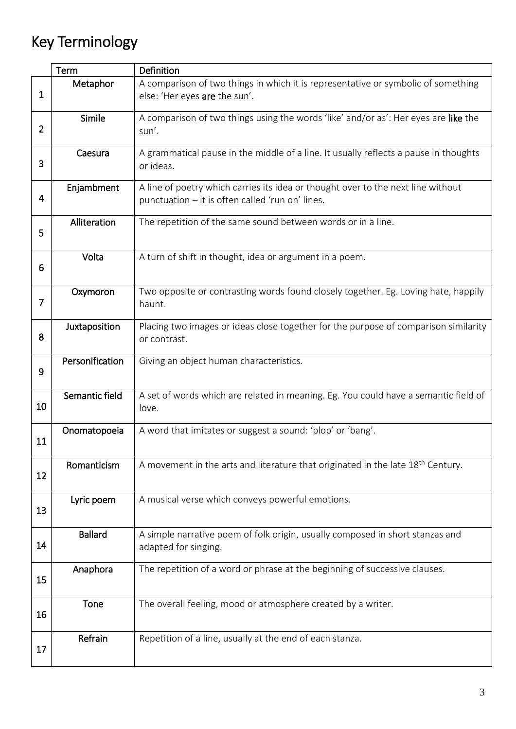# Key Terminology

|                | Term            | Definition                                                                                                                           |
|----------------|-----------------|--------------------------------------------------------------------------------------------------------------------------------------|
| $\mathbf{1}$   | Metaphor        | A comparison of two things in which it is representative or symbolic of something<br>else: 'Her eyes are the sun'.                   |
| $\overline{2}$ | Simile          | A comparison of two things using the words 'like' and/or as': Her eyes are like the<br>sun'.                                         |
| 3              | Caesura         | A grammatical pause in the middle of a line. It usually reflects a pause in thoughts<br>or ideas.                                    |
| 4              | Enjambment      | A line of poetry which carries its idea or thought over to the next line without<br>punctuation - it is often called 'run on' lines. |
| 5              | Alliteration    | The repetition of the same sound between words or in a line.                                                                         |
| 6              | Volta           | A turn of shift in thought, idea or argument in a poem.                                                                              |
| $\overline{7}$ | Oxymoron        | Two opposite or contrasting words found closely together. Eg. Loving hate, happily<br>haunt.                                         |
| 8              | Juxtaposition   | Placing two images or ideas close together for the purpose of comparison similarity<br>or contrast.                                  |
| 9              | Personification | Giving an object human characteristics.                                                                                              |
| 10             | Semantic field  | A set of words which are related in meaning. Eg. You could have a semantic field of<br>love.                                         |
| 11             | Onomatopoeia    | A word that imitates or suggest a sound: 'plop' or 'bang'.                                                                           |
| 12             | Romanticism     | A movement in the arts and literature that originated in the late 18 <sup>th</sup> Century.                                          |
| 13             | Lyric poem      | A musical verse which conveys powerful emotions.                                                                                     |
| 14             | <b>Ballard</b>  | A simple narrative poem of folk origin, usually composed in short stanzas and<br>adapted for singing.                                |
| 15             | Anaphora        | The repetition of a word or phrase at the beginning of successive clauses.                                                           |
| 16             | Tone            | The overall feeling, mood or atmosphere created by a writer.                                                                         |
| 17             | Refrain         | Repetition of a line, usually at the end of each stanza.                                                                             |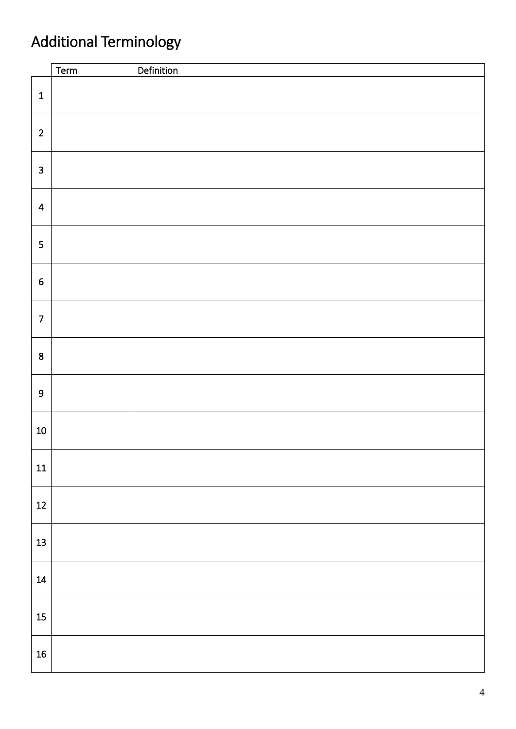# Additional Terminology

|                         | Term | Definition |
|-------------------------|------|------------|
| $\mathbf 1$             |      |            |
| $\overline{2}$          |      |            |
| $\mathbf{3}$            |      |            |
| $\overline{4}$          |      |            |
| $\overline{\mathbf{5}}$ |      |            |
| $\boldsymbol{6}$        |      |            |
| $\overline{7}$          |      |            |
| $\bf 8$                 |      |            |
| $\boldsymbol{9}$        |      |            |
| $10\,$                  |      |            |
| 11                      |      |            |
| $12$                    |      |            |
| 13                      |      |            |
| 14                      |      |            |
| 15                      |      |            |
| 16                      |      |            |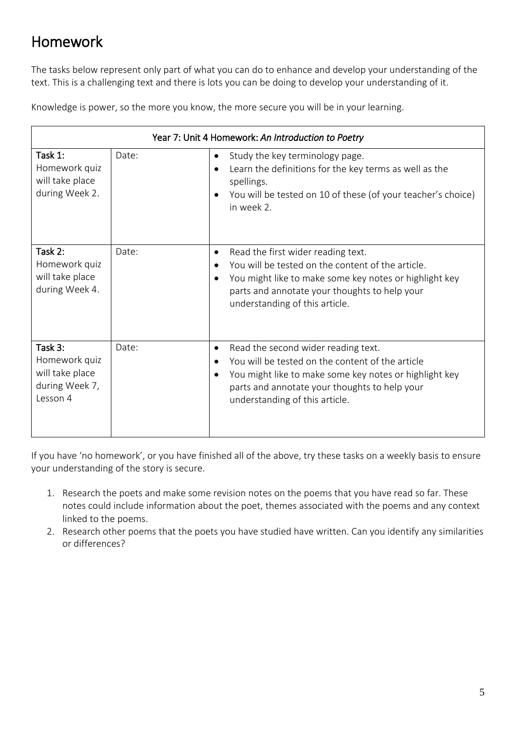## Homework

The tasks below represent only part of what you can do to enhance and develop your understanding of the text. This is a challenging text and there is lots you can be doing to develop your understanding of it.

Knowledge is power, so the more you know, the more secure you will be in your learning.

| Year 7: Unit 4 Homework: An Introduction to Poetry                        |       |                                                                                                                                                                                                                                                                             |  |  |
|---------------------------------------------------------------------------|-------|-----------------------------------------------------------------------------------------------------------------------------------------------------------------------------------------------------------------------------------------------------------------------------|--|--|
| Task 1:<br>Homework quiz<br>will take place<br>during Week 2.             | Date: | Study the key terminology page.<br>$\bullet$<br>Learn the definitions for the key terms as well as the<br>$\bullet$<br>spellings.<br>You will be tested on 10 of these (of your teacher's choice)<br>$\bullet$<br>in week 2.                                                |  |  |
| Task 2:<br>Homework quiz<br>will take place<br>during Week 4.             | Date: | Read the first wider reading text.<br>$\bullet$<br>You will be tested on the content of the article.<br>$\bullet$<br>You might like to make some key notes or highlight key<br>$\bullet$<br>parts and annotate your thoughts to help your<br>understanding of this article. |  |  |
| Task 3:<br>Homework quiz<br>will take place<br>during Week 7,<br>Lesson 4 | Date: | Read the second wider reading text.<br>٠<br>You will be tested on the content of the article<br>$\bullet$<br>You might like to make some key notes or highlight key<br>$\bullet$<br>parts and annotate your thoughts to help your<br>understanding of this article.         |  |  |

If you have 'no homework', or you have finished all of the above, try these tasks on a weekly basis to ensure your understanding of the story is secure.

- 1. Research the poets and make some revision notes on the poems that you have read so far. These notes could include information about the poet, themes associated with the poems and any context linked to the poems.
- 2. Research other poems that the poets you have studied have written. Can you identify any similarities or differences?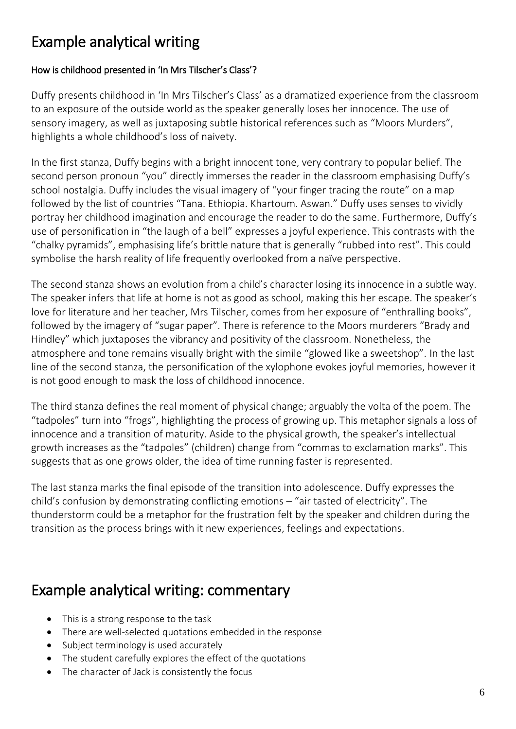## Example analytical writing

### How is childhood presented in 'In Mrs Tilscher's Class'?

Duffy presents childhood in 'In Mrs Tilscher's Class' as a dramatized experience from the classroom to an exposure of the outside world as the speaker generally loses her innocence. The use of sensory imagery, as well as juxtaposing subtle historical references such as "Moors Murders", highlights a whole childhood's loss of naivety.

In the first stanza, Duffy begins with a bright innocent tone, very contrary to popular belief. The second person pronoun "you" directly immerses the reader in the classroom emphasising Duffy's school nostalgia. Duffy includes the visual imagery of "your finger tracing the route" on a map followed by the list of countries "Tana. Ethiopia. Khartoum. Aswan." Duffy uses senses to vividly portray her childhood imagination and encourage the reader to do the same. Furthermore, Duffy's use of personification in "the laugh of a bell" expresses a joyful experience. This contrasts with the "chalky pyramids", emphasising life's brittle nature that is generally "rubbed into rest". This could symbolise the harsh reality of life frequently overlooked from a naïve perspective.

The second stanza shows an evolution from a child's character losing its innocence in a subtle way. The speaker infers that life at home is not as good as school, making this her escape. The speaker's love for literature and her teacher, Mrs Tilscher, comes from her exposure of "enthralling books", followed by the imagery of "sugar paper". There is reference to the Moors murderers "Brady and Hindley" which juxtaposes the vibrancy and positivity of the classroom. Nonetheless, the atmosphere and tone remains visually bright with the simile "glowed like a sweetshop". In the last line of the second stanza, the personification of the xylophone evokes joyful memories, however it is not good enough to mask the loss of childhood innocence.

The third stanza defines the real moment of physical change; arguably the volta of the poem. The "tadpoles" turn into "frogs", highlighting the process of growing up. This metaphor signals a loss of innocence and a transition of maturity. Aside to the physical growth, the speaker's intellectual growth increases as the "tadpoles" (children) change from "commas to exclamation marks". This suggests that as one grows older, the idea of time running faster is represented.

The last stanza marks the final episode of the transition into adolescence. Duffy expresses the child's confusion by demonstrating conflicting emotions – "air tasted of electricity". The thunderstorm could be a metaphor for the frustration felt by the speaker and children during the transition as the process brings with it new experiences, feelings and expectations.

### Example analytical writing: commentary

- This is a strong response to the task
- There are well-selected quotations embedded in the response
- Subject terminology is used accurately
- The student carefully explores the effect of the quotations
- The character of Jack is consistently the focus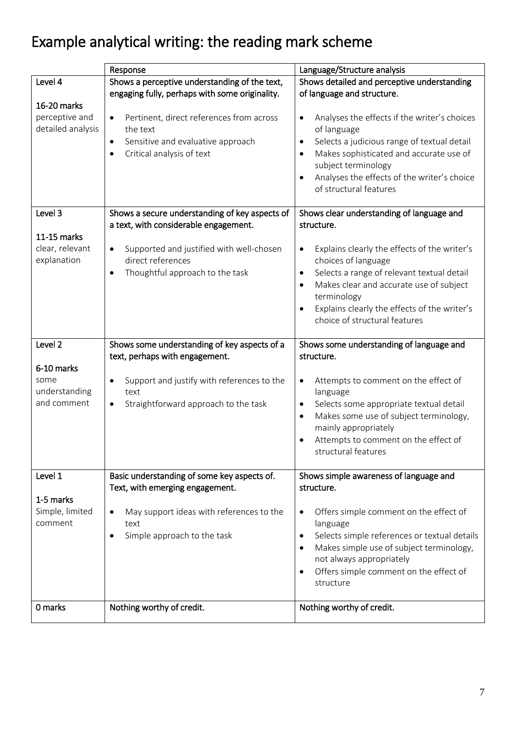# Example analytical writing: the reading mark scheme

|                                                    | Response                                                                                                                                              | Language/Structure analysis                                                                                                                                                                                                                                                                  |
|----------------------------------------------------|-------------------------------------------------------------------------------------------------------------------------------------------------------|----------------------------------------------------------------------------------------------------------------------------------------------------------------------------------------------------------------------------------------------------------------------------------------------|
| Level 4                                            | Shows a perceptive understanding of the text,<br>engaging fully, perhaps with some originality.                                                       | Shows detailed and perceptive understanding<br>of language and structure.                                                                                                                                                                                                                    |
| 16-20 marks<br>perceptive and<br>detailed analysis | Pertinent, direct references from across<br>$\bullet$<br>the text<br>Sensitive and evaluative approach<br>$\bullet$<br>Critical analysis of text<br>٠ | Analyses the effects if the writer's choices<br>$\bullet$<br>of language<br>Selects a judicious range of textual detail<br>$\bullet$<br>Makes sophisticated and accurate use of<br>subject terminology<br>Analyses the effects of the writer's choice<br>$\bullet$<br>of structural features |
| Level 3                                            | Shows a secure understanding of key aspects of<br>a text, with considerable engagement.                                                               | Shows clear understanding of language and<br>structure.                                                                                                                                                                                                                                      |
| 11-15 marks<br>clear, relevant<br>explanation      | Supported and justified with well-chosen<br>$\bullet$<br>direct references<br>Thoughtful approach to the task<br>٠                                    | Explains clearly the effects of the writer's<br>choices of language<br>Selects a range of relevant textual detail<br>٠<br>Makes clear and accurate use of subject<br>$\bullet$<br>terminology<br>Explains clearly the effects of the writer's<br>choice of structural features               |
| Level <sub>2</sub><br>6-10 marks                   | Shows some understanding of key aspects of a<br>text, perhaps with engagement.                                                                        | Shows some understanding of language and<br>structure.                                                                                                                                                                                                                                       |
| some<br>understanding<br>and comment               | Support and justify with references to the<br>٠<br>text<br>Straightforward approach to the task<br>$\bullet$                                          | Attempts to comment on the effect of<br>٠<br>language<br>Selects some appropriate textual detail<br>٠<br>Makes some use of subject terminology,<br>$\bullet$<br>mainly appropriately<br>Attempts to comment on the effect of<br>structural features                                          |
| Level 1                                            | Basic understanding of some key aspects of.<br>Text, with emerging engagement.                                                                        | Shows simple awareness of language and<br>structure.                                                                                                                                                                                                                                         |
| 1-5 marks<br>Simple, limited<br>comment            | May support ideas with references to the<br>$\bullet$<br>text<br>Simple approach to the task<br>$\bullet$                                             | Offers simple comment on the effect of<br>$\bullet$<br>language<br>Selects simple references or textual details<br>$\bullet$<br>Makes simple use of subject terminology,<br>not always appropriately<br>Offers simple comment on the effect of<br>$\bullet$<br>structure                     |
| 0 marks                                            | Nothing worthy of credit.                                                                                                                             | Nothing worthy of credit.                                                                                                                                                                                                                                                                    |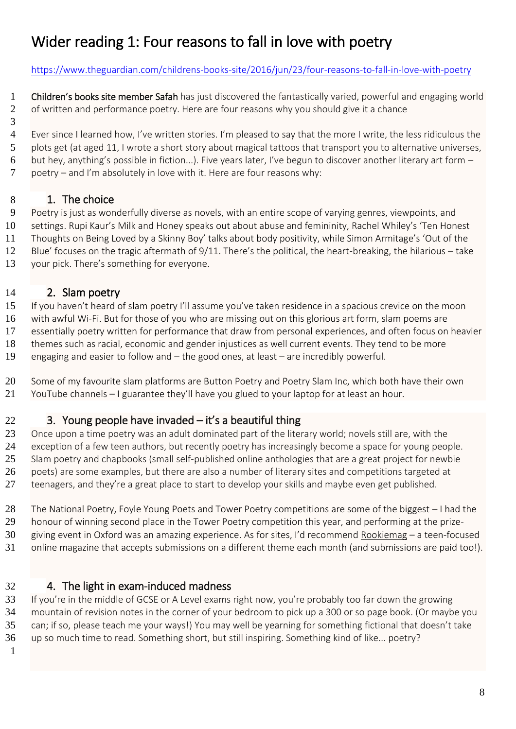## Wider reading 1: Four reasons to fall in love with poetry

<https://www.theguardian.com/childrens-books-site/2016/jun/23/four-reasons-to-fall-in-love-with-poetry>

1 Children's books site member Safah has just discovered the fantastically varied, powerful and engaging world 2 of written and performance poetry. Here are four reasons why you should give it a chance

- 3
- 4 Ever since I learned how, I've written stories. I'm pleased to say that the more I write, the less ridiculous the 5 plots get (at aged 11, I wrote a short story about magical tattoos that transport you to alternative universes, 6 but hey, anything's possible in fiction...). Five years later, I've begun to discover another literary art form  $-$ 7 poetry – and I'm absolutely in love with it. Here are four reasons why:

### 8 1. The choice

 Poetry is just as wonderfully diverse as novels, with an entire scope of varying genres, viewpoints, and settings. Rupi Kaur's Milk and [Honey](https://bookshop.theguardian.com/catalog/product/view/id/352936/) speaks out about abuse and femininity, Rachel Whiley's 'Ten [Honest](http://genius.com/Rachel-wiley-10-honest-thoughts-on-being-loved-by-a-skinny-boy-annotated) [Thoughts](http://genius.com/Rachel-wiley-10-honest-thoughts-on-being-loved-by-a-skinny-boy-annotated) on Being Loved by a Skinny Boy' talks about body positivity, while Simon Armitage's '[Out](http://www.scottishpoetrylibrary.org.uk/poetry/poems/out-blue-12) of the [Blue](http://www.scottishpoetrylibrary.org.uk/poetry/poems/out-blue-12)' focuses on the tragic aftermath of 9/11. There's the political, the heart-breaking, the hilarious – take

13 your pick. There's something for everyone.

### 14 2. Slam poetry

 If you haven't heard of slam poetry I'll assume you've taken residence in a spacious crevice on the moon with awful Wi-Fi. But for those of you who are missing out on this glorious art form, slam poems are essentially poetry written for performance that draw from personal experiences, and often focus on heavier 18 themes such as racial, economic and gender injustices as well current events. They tend to be more engaging and easier to follow and – the good ones, at least – are incredibly powerful.

20 Some of my favourite slam platforms are [Button](https://www.youtube.com/user/ButtonPoetry) [Poetry](https://www.youtube.com/user/thisispoetryslaminc) and Poetry Slam Inc, which both have their own 21 YouTube channels – I guarantee they'll have you glued to your laptop for at least an hour.

### 22 3. Young people have invaded  $-$  it's a beautiful thing

23 Once upon a time poetry was an adult dominated part of the literary world; novels still are, with the 24 exception of a few teen authors, but recently poetry has increasingly become a space for young people. 25 Slam poetry and chapbooks (small self-published online anthologies that are a great project for newbie 26 poets) are some examples, but there are also a number of literary sites and competitions targeted at 27 teenagers, and they're a great place to start to develop your skills and maybe even get published.

- 28 The National Poetry, Foyle Young Poets and Tower Poetry competitions are some of the biggest I had the 29 honour of winning second place in the Tower Poetry competition this year, and performing at the prize-30 giving event in Oxford was an amazing experience. As for sites, I'd recommend [Rookiemag](http://www.rookiemag.com/) – a teen-focused
- 31 online magazine that accepts submissions on a different theme each month (and submissions are paid too!).

### 32 4. The light in exam-induced madness

33 If you're in the middle of GCSE or A Level exams right now, you're probably too far down the growing 34 mountain of revision notes in the corner of your bedroom to pick up a 300 or so page book. (Or maybe you 35 can; if so, please teach me your ways!) You may well be yearning for something fictional that doesn't take 36 up so much time to read. Something short, but still inspiring. Something kind of like... poetry?

1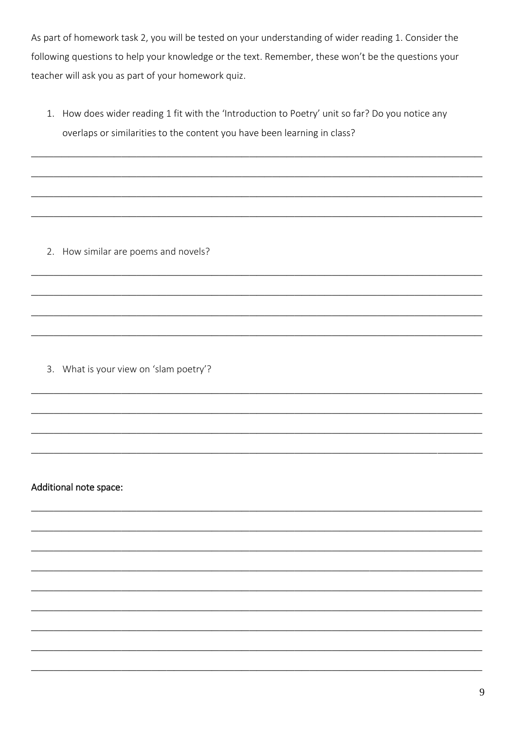As part of homework task 2, you will be tested on your understanding of wider reading 1. Consider the following questions to help your knowledge or the text. Remember, these won't be the questions your teacher will ask you as part of your homework quiz.

1. How does wider reading 1 fit with the 'Introduction to Poetry' unit so far? Do you notice any overlaps or similarities to the content you have been learning in class?

2. How similar are poems and novels?

3. What is your view on 'slam poetry'?

#### Additional note space: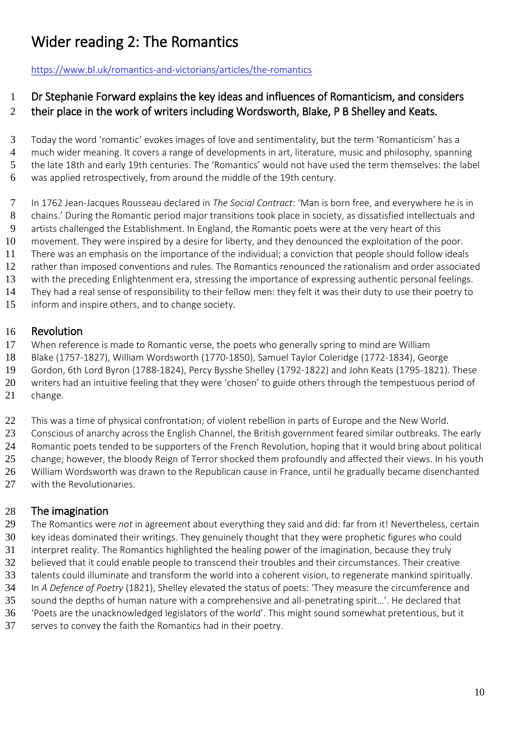## Wider reading 2: The Romantics

<https://www.bl.uk/romantics-and-victorians/articles/the-romantics>

### Dr Stephanie Forward explains the key ideas and influences of Romanticism, and considers

2 their place in the work of writers including Wordsworth, Blake, P B Shelley and Keats.

 Today the word 'romantic' evokes images of love and sentimentality, but the term 'Romanticism' has a much wider meaning. It covers a range of developments in art, literature, music and philosophy, spanning 5 the late 18th and early 19th centuries. The 'Romantics' would not have used the term themselves: the label

was applied retrospectively, from around the middle of the 19th century.

 In 1762 Jean-Jacques Rousseau declared in *The Social Contract*: 'Man is born free, and everywhere he is in 8 chains.' During the Romantic period major transitions took place in society, as dissatisfied intellectuals and artists challenged the Establishment. In England, the Romantic poets were at the very heart of this movement. They were inspired by a desire for liberty, and they denounced the exploitation of the poor. There was an emphasis on the importance of the individual; a conviction that people should follow ideals

- rather than imposed conventions and rules. The Romantics renounced the rationalism and order associated with the preceding Enlightenment era, stressing the importance of expressing authentic personal feelings.
- They had a real sense of responsibility to their fellow men: they felt it was their duty to use their poetry to
- inform and inspire others, and to change society.

### Revolution

- When reference is made to Romantic verse, the poets who generally spring to mind are [William](https://www.bl.uk/people/william-blake)
- [Blake](https://www.bl.uk/people/william-blake) (1757-1827), [William Wordsworth](https://www.bl.uk/people/william-wordsworth) (1770-1850), [Samuel Taylor Coleridge](https://www.bl.uk/people/samuel-taylor-coleridge) (1772-1834), [George](https://www.bl.uk/people/lord-byron)
- [Gordon, 6th Lord Byron](https://www.bl.uk/people/lord-byron) (1788-1824), [Percy Bysshe Shelley](https://www.bl.uk/people/percy-bysshe-shelley) (1792-1822) and [John Keats](https://www.bl.uk/people/john-keats) (1795-1821). These
- 20 writers had an intuitive feeling that they were 'chosen' to guide others through the tempestuous period of
- change.

22 This was a time of physical confrontation; of violent rebellion in parts of Europe and the New World.

23 Conscious of anarchy across the English Channel, the British government feared similar outbreaks. The early

- Romantic poets tended to be supporters of the French Revolution, hoping that it would bring about political 25 change; however, the bloody Reign of Terror shocked them profoundly and affected their views. In his youth
- 26 William Wordsworth was drawn to the Republican cause in France, until he gradually became disenchanted
- 27 with the Revolutionaries.

### The imagination

The Romantics were *not* in agreement about everything they said and did: far from it! Nevertheless, certain

key ideas dominated their writings. They genuinely thought that they were prophetic figures who could

- interpret reality. The Romantics highlighted the healing power of the imagination, because they truly believed that it could enable people to transcend their troubles and their circumstances. Their creative
- talents could illuminate and transform the world into a coherent vision, to regenerate mankind spiritually.
- In *A Defence of Poetry* (1821), Shelley elevated the status of poets: 'They measure the circumference and
- sound the depths of human nature with a comprehensive and all-penetrating spirit…'. He declared that
- 'Poets are the unacknowledged legislators of the world'. This might sound somewhat pretentious, but it
- serves to convey the faith the Romantics had in their poetry.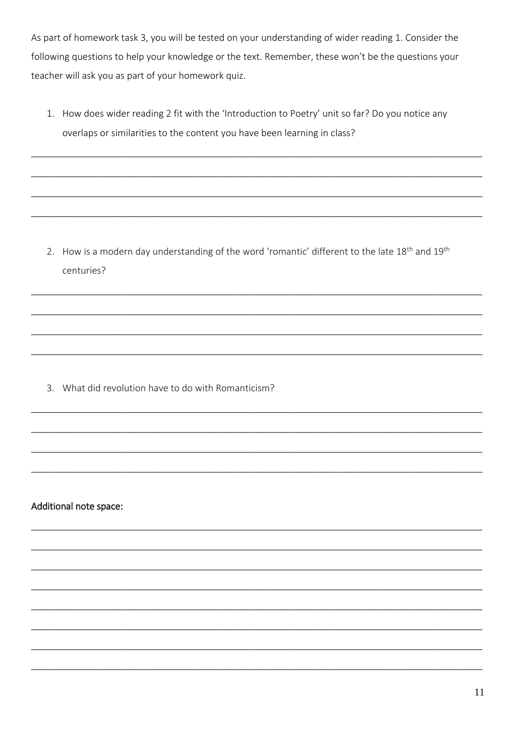As part of homework task 3, you will be tested on your understanding of wider reading 1. Consider the following questions to help your knowledge or the text. Remember, these won't be the questions your teacher will ask you as part of your homework quiz.

1. How does wider reading 2 fit with the 'Introduction to Poetry' unit so far? Do you notice any overlaps or similarities to the content you have been learning in class?

2. How is a modern day understanding of the word 'romantic' different to the late 18<sup>th</sup> and 19<sup>th</sup> centuries?

3. What did revolution have to do with Romanticism?

#### Additional note space: